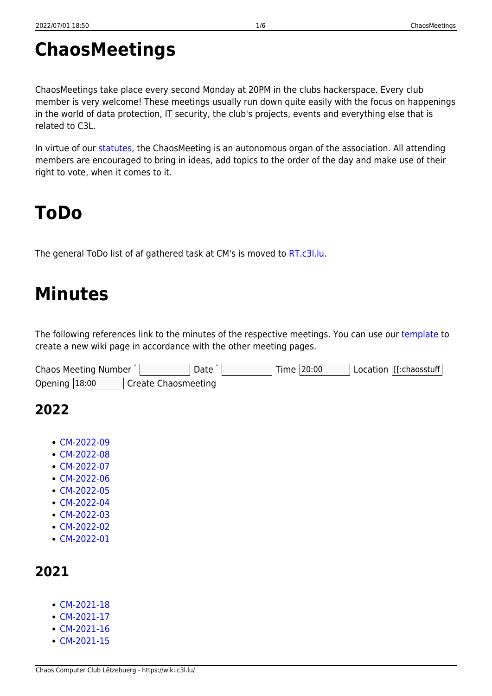# **ChaosMeetings**

ChaosMeetings take place every second Monday at 20PM in the clubs hackerspace. Every club member is very welcome! These meetings usually run down quite easily with the focus on happenings in the world of data protection, IT security, the club's projects, events and everything else that is related to C3L.

In virtue of our [statutes,](https://wiki.c3l.lu/doku.php?id=organization:statutes) the ChaosMeeting is an autonomous organ of the association. All attending members are encouraged to bring in ideas, add topics to the order of the day and make use of their right to vote, when it comes to it.

## **ToDo**

The general ToDo list of af gathered task at CM's is moved to [RT.c3l.lu](https://rt.c3l.lu/).

# **Minutes**

The following references link to the minutes of the respective meetings. You can use our [template](https://wiki.c3l.lu/doku.php?id=templates:chaosmeetings) to create a new wiki page in accordance with the other meeting pages.

| Chaos Meeting Number |                            | Date |  | Time 20:00 | Location  [[:chaosstuff |
|----------------------|----------------------------|------|--|------------|-------------------------|
| Opening $18:00$      | <b>Create Chaosmeeting</b> |      |  |            |                         |

## **2022**

- [CM-2022-09](https://wiki.c3l.lu/doku.php?id=lb:organization:chaosmeetings:2022:cm-2022-09)
- [CM-2022-08](https://wiki.c3l.lu/doku.php?id=lb:organization:chaosmeetings:2022:cm-2022-08)
- [CM-2022-07](https://wiki.c3l.lu/doku.php?id=lb:organization:chaosmeetings:2022:cm-2022-07)
- [CM-2022-06](https://wiki.c3l.lu/doku.php?id=lb:organization:chaosmeetings:2022:cm-2022-06)
- [CM-2022-05](https://wiki.c3l.lu/doku.php?id=lb:organization:chaosmeetings:2022:cm-2022-05)
- $\cdot$  [CM-2022-04](https://wiki.c3l.lu/doku.php?id=lb:organization:chaosmeetings:2022:cm-2022-04)
- [CM-2022-03](https://wiki.c3l.lu/doku.php?id=lb:organization:chaosmeetings:2022:cm-2022-03)
- [CM-2022-02](https://wiki.c3l.lu/doku.php?id=lb:organization:chaosmeetings:2022:cm-2022-02)
- [CM-2022-01](https://wiki.c3l.lu/doku.php?id=lb:organization:chaosmeetings:2022:cm-2022-01)

### **2021**

- [CM-2021-18](https://wiki.c3l.lu/doku.php?id=lb:organization:chaosmeetings:2021:cm-2021-18)
- [CM-2021-17](https://wiki.c3l.lu/doku.php?id=lb:organization:chaosmeetings:2021:cm-2021-17)
- [CM-2021-16](https://wiki.c3l.lu/doku.php?id=lb:organization:chaosmeetings:2021:cm-2021-16)
- $\cdot$  [CM-2021-15](https://wiki.c3l.lu/doku.php?id=lb:organization:chaosmeetings:2021:cm-2021-15)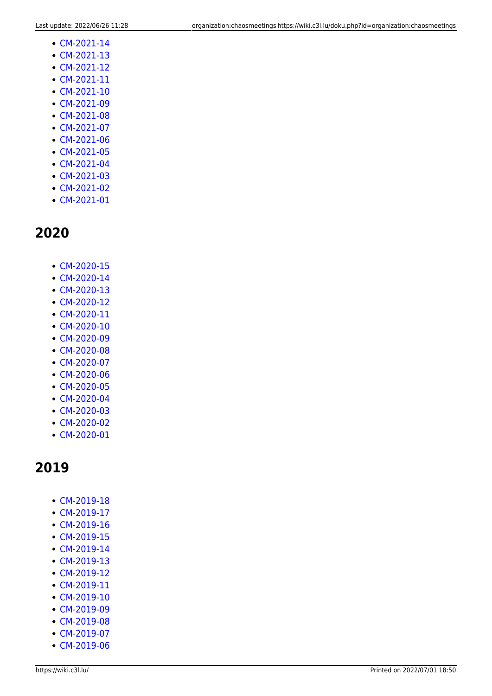**2020**

[CM-2020-15](https://wiki.c3l.lu/doku.php?id=lb:organization:chaosmeetings:2020:cm-2020-15) [CM-2020-14](https://wiki.c3l.lu/doku.php?id=lb:organization:chaosmeetings:2020:cm-2020-14) [CM-2020-13](https://wiki.c3l.lu/doku.php?id=lb:organization:chaosmeetings:2020:cm-2020-13) • [CM-2020-12](https://wiki.c3l.lu/doku.php?id=lb:organization:chaosmeetings:2020:cm-2020-12) • [CM-2020-11](https://wiki.c3l.lu/doku.php?id=lb:organization:chaosmeetings:2020:cm-2020-11) [CM-2020-10](https://wiki.c3l.lu/doku.php?id=lb:organization:chaosmeetings:2020:cm-2020-10) • [CM-2020-09](https://wiki.c3l.lu/doku.php?id=lb:organization:chaosmeetings:2020:cm-2020-09) • [CM-2020-08](https://wiki.c3l.lu/doku.php?id=lb:organization:chaosmeetings:2020:cm-2020-08) • [CM-2020-07](https://wiki.c3l.lu/doku.php?id=lb:organization:chaosmeetings:2020:cm-2020-07) [CM-2020-06](https://wiki.c3l.lu/doku.php?id=lb:organization:chaosmeetings:2020:cm-2020-06) • [CM-2020-05](https://wiki.c3l.lu/doku.php?id=lb:organization:chaosmeetings:2020:cm-2020-05) [CM-2020-04](https://wiki.c3l.lu/doku.php?id=lb:organization:chaosmeetings:2020:cm-2020-04) [CM-2020-03](https://wiki.c3l.lu/doku.php?id=lb:organization:chaosmeetings:2020:cm-2020-03) • [CM-2020-02](https://wiki.c3l.lu/doku.php?id=lb:organization:chaosmeetings:2020:cm-2020-02) [CM-2020-01](https://wiki.c3l.lu/doku.php?id=lb:organization:chaosmeetings:2020:cm-2020-01)

• [CM-2019-18](https://wiki.c3l.lu/doku.php?id=lb:organization:chaosmeetings:2019:cm-2019-18)

[CM-2021-14](https://wiki.c3l.lu/doku.php?id=lb:organization:chaosmeetings:2021:cm-2021-14) [CM-2021-13](https://wiki.c3l.lu/doku.php?id=lb:organization:chaosmeetings:2021:cm-2021-13) • [CM-2021-12](https://wiki.c3l.lu/doku.php?id=lb:organization:chaosmeetings:2021:cm-2021-12) [CM-2021-11](https://wiki.c3l.lu/doku.php?id=lb:organization:chaosmeetings:2021:cm-2021-11) [CM-2021-10](https://wiki.c3l.lu/doku.php?id=lb:organization:chaosmeetings:2021:cm-2021-10) [CM-2021-09](https://wiki.c3l.lu/doku.php?id=lb:organization:chaosmeetings:2021:cm-2021-09) [CM-2021-08](https://wiki.c3l.lu/doku.php?id=lb:organization:chaosmeetings:2021:cm-2021-08) • [CM-2021-07](https://wiki.c3l.lu/doku.php?id=lb:organization:chaosmeetings:2021:cm-2021-07) [CM-2021-06](https://wiki.c3l.lu/doku.php?id=lb:organization:chaosmeetings:2021:cm-2021-06) • [CM-2021-05](https://wiki.c3l.lu/doku.php?id=lb:organization:chaosmeetings:2021:cm-2021-05) [CM-2021-04](https://wiki.c3l.lu/doku.php?id=lb:organization:chaosmeetings:2021:cm-2021-04) • [CM-2021-03](https://wiki.c3l.lu/doku.php?id=lb:organization:chaosmeetings:2021:cm-2021-03) • [CM-2021-02](https://wiki.c3l.lu/doku.php?id=lb:organization:chaosmeetings:2021:cm-2021-02) [CM-2021-01](https://wiki.c3l.lu/doku.php?id=lb:organization:chaosmeetings:2021:cm-2021-01)

- [CM-2019-17](https://wiki.c3l.lu/doku.php?id=lb:organization:chaosmeetings:2019:cm-2019-17)
- 
- [CM-2019-16](https://wiki.c3l.lu/doku.php?id=lb:organization:chaosmeetings:2019:cm-2019-16)
- 
- [CM-2019-15](https://wiki.c3l.lu/doku.php?id=lb:organization:chaosmeetings:2019:cm-2019-15)
- 
- [CM-2019-14](https://wiki.c3l.lu/doku.php?id=lb:organization:chaosmeetings:2019:cm-2019-14)
- [CM-2019-13](https://wiki.c3l.lu/doku.php?id=lb:organization:chaosmeetings:2019:cm-2019-13)
- 
- [CM-2019-12](https://wiki.c3l.lu/doku.php?id=lb:organization:chaosmeetings:2019:cm-2019-12)
- [CM-2019-11](https://wiki.c3l.lu/doku.php?id=lb:organization:chaosmeetings:2019:cm-2019-11)
- [CM-2019-10](https://wiki.c3l.lu/doku.php?id=lb:organization:chaosmeetings:2019:cm-2019-10)
- 
- [CM-2019-09](https://wiki.c3l.lu/doku.php?id=lb:organization:chaosmeetings:2019:cm-2019-09)
- [CM-2019-08](https://wiki.c3l.lu/doku.php?id=lb:organization:chaosmeetings:2019:cm-2019-08)
- [CM-2019-07](https://wiki.c3l.lu/doku.php?id=lb:organization:chaosmeetings:2019:cm-2019-07)
- [CM-2019-06](https://wiki.c3l.lu/doku.php?id=lb:organization:chaosmeetings:2019:cm-2019-06)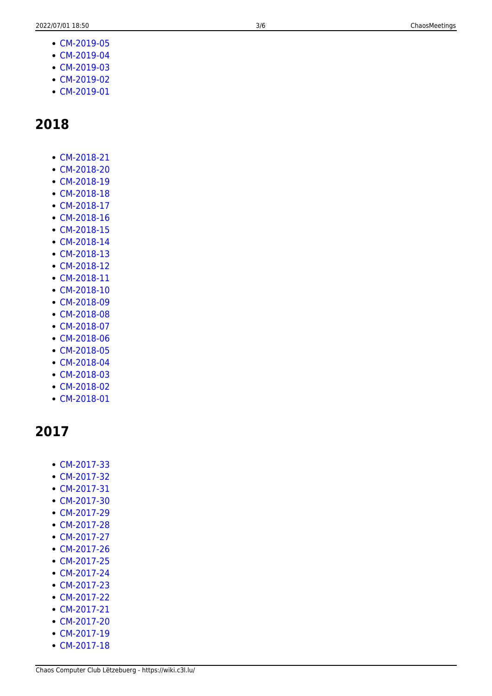- [CM-2019-05](https://wiki.c3l.lu/doku.php?id=lb:organization:chaosmeetings:2019:cm-2019-05)
- [CM-2019-04](https://wiki.c3l.lu/doku.php?id=lb:organization:chaosmeetings:2019:cm-2019-04)
- [CM-2019-03](https://wiki.c3l.lu/doku.php?id=lb:organization:chaosmeetings:2019:cm-2019-03)
- [CM-2019-02](https://wiki.c3l.lu/doku.php?id=lb:organization:chaosmeetings:2019:cm-2019-02)
- [CM-2019-01](https://wiki.c3l.lu/doku.php?id=lb:organization:chaosmeetings:2019:cm-2019-01)

- [CM-2018-21](https://wiki.c3l.lu/doku.php?id=lb:organization:chaosmeetings:2018:cm-2018-21)
- [CM-2018-20](https://wiki.c3l.lu/doku.php?id=lb:organization:chaosmeetings:2018:cm-2018-20)
- [CM-2018-19](https://wiki.c3l.lu/doku.php?id=lb:organization:chaosmeetings:2018:cm-2018-19)
- [CM-2018-18](https://wiki.c3l.lu/doku.php?id=lb:organization:chaosmeetings:2018:cm-2018-18)
- [CM-2018-17](https://wiki.c3l.lu/doku.php?id=lb:organization:chaosmeetings:2018:cm-2018-17)
- [CM-2018-16](https://wiki.c3l.lu/doku.php?id=lb:organization:chaosmeetings:2018:cm-2018-16)
- [CM-2018-15](https://wiki.c3l.lu/doku.php?id=lb:organization:chaosmeetings:2018:cm-2018-15)
- [CM-2018-14](https://wiki.c3l.lu/doku.php?id=lb:organization:chaosmeetings:2018:cm-2018-14)
- [CM-2018-13](https://wiki.c3l.lu/doku.php?id=lb:organization:chaosmeetings:2018:cm-2018-13)
- [CM-2018-12](https://wiki.c3l.lu/doku.php?id=lb:organization:chaosmeetings:2018:cm-2018-12)
- [CM-2018-11](https://wiki.c3l.lu/doku.php?id=lb:organization:chaosmeetings:2018:cm-2018-11)
- [CM-2018-10](https://wiki.c3l.lu/doku.php?id=lb:organization:chaosmeetings:2018:cm-2018-10)
- [CM-2018-09](https://wiki.c3l.lu/doku.php?id=lb:organization:chaosmeetings:2018:cm-2018-09)
- [CM-2018-08](https://wiki.c3l.lu/doku.php?id=lb:organization:chaosmeetings:2018:cm-2018-08)
- [CM-2018-07](https://wiki.c3l.lu/doku.php?id=lb:organization:chaosmeetings:2018:cm-2018-07)
- [CM-2018-06](https://wiki.c3l.lu/doku.php?id=lb:organization:chaosmeetings:2018:cm-2018-06)
- [CM-2018-05](https://wiki.c3l.lu/doku.php?id=lb:organization:chaosmeetings:2018:cm-2018-05)
- [CM-2018-04](https://wiki.c3l.lu/doku.php?id=lb:organization:chaosmeetings:2018:cm-2018-04)
- [CM-2018-03](https://wiki.c3l.lu/doku.php?id=lb:organization:chaosmeetings:2018:cm-2018-03)
- [CM-2018-02](https://wiki.c3l.lu/doku.php?id=lb:organization:chaosmeetings:2018:cm-2018-02)
- [CM-2018-01](https://wiki.c3l.lu/doku.php?id=lb:organization:chaosmeetings:2018:cm-2018-01)

#### **2017**

- [CM-2017-33](https://wiki.c3l.lu/doku.php?id=lb:organization:chaosmeetings:2017:cm-2017-33)
- [CM-2017-32](https://wiki.c3l.lu/doku.php?id=lb:organization:chaosmeetings:2017:cm-2017-32)
- [CM-2017-31](https://wiki.c3l.lu/doku.php?id=lb:organization:chaosmeetings:2017:cm-2017-31)
- [CM-2017-30](https://wiki.c3l.lu/doku.php?id=lb:organization:chaosmeetings:2017:cm-2017-30)
- [CM-2017-29](https://wiki.c3l.lu/doku.php?id=lb:organization:chaosmeetings:2017:cm-2017-29)
- [CM-2017-28](https://wiki.c3l.lu/doku.php?id=lb:organization:chaosmeetings:2017:cm-2017-28)
- $\cdot$  [CM-2017-27](https://wiki.c3l.lu/doku.php?id=lb:organization:chaosmeetings:2017:cm-2017-27)
- [CM-2017-26](https://wiki.c3l.lu/doku.php?id=lb:organization:chaosmeetings:2017:cm-2017-26)
- [CM-2017-25](https://wiki.c3l.lu/doku.php?id=organization:chaosmeetings:2017:cm-2017-25)
- [CM-2017-24](https://wiki.c3l.lu/doku.php?id=organization:chaosmeetings:2017:cm-2017-24)
- [CM-2017-23](https://wiki.c3l.lu/doku.php?id=organization:chaosmeetings:2017:cm-2017-23)
- [CM-2017-22](https://wiki.c3l.lu/doku.php?id=lb:organization:chaosmeetings:2017:cm-2017-22)
- [CM-2017-21](https://wiki.c3l.lu/doku.php?id=lb:organization:chaosmeetings:2017:cm-2017-21)
- [CM-2017-20](https://wiki.c3l.lu/doku.php?id=lb:organization:chaosmeetings:2017:cm-2017-20)
- [CM-2017-19](https://wiki.c3l.lu/doku.php?id=lb:organization:chaosmeetings:2017:cm-2017-19)
- [CM-2017-18](https://wiki.c3l.lu/doku.php?id=lb:organization:chaosmeetings:2017:cm-2017-18)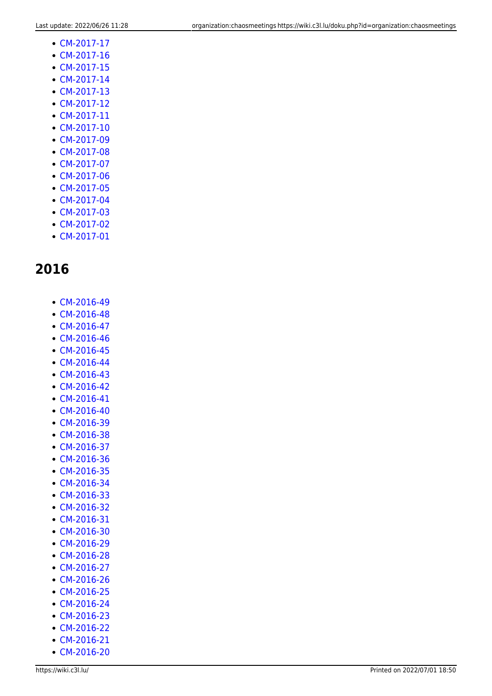- [CM-2017-17](https://wiki.c3l.lu/doku.php?id=lb:organization:chaosmeetings:2017:cm-2017-17)
- [CM-2017-16](https://wiki.c3l.lu/doku.php?id=organization:chaosmeetings:2017:cm-2017-16)
- [CM-2017-15](https://wiki.c3l.lu/doku.php?id=lb:organization:chaosmeetings:2017:cm-2017-15)
- [CM-2017-14](https://wiki.c3l.lu/doku.php?id=lb:organization:chaosmeetings:2017:cm-2017-14)
- [CM-2017-13](https://wiki.c3l.lu/doku.php?id=lb:organization:chaosmeetings:2017:cm-2017-13)
- [CM-2017-12](https://wiki.c3l.lu/doku.php?id=organization:chaosmeetings:2017:cm-2017-12)
- [CM-2017-11](https://wiki.c3l.lu/doku.php?id=lb:organization:chaosmeetings:2017:cm-2017-11)
- [CM-2017-10](https://wiki.c3l.lu/doku.php?id=lb:organization:chaosmeetings:2017:cm-2017-10)
- [CM-2017-09](https://wiki.c3l.lu/doku.php?id=lb:organization:chaosmeetings:2017:cm-2017-09)
- [CM-2017-08](https://wiki.c3l.lu/doku.php?id=lb:organization:chaosmeetings:2017:cm-2017-08)
- [CM-2017-07](https://wiki.c3l.lu/doku.php?id=organization:chaosmeetings:2017:cm-2017-07)
- [CM-2017-06](https://wiki.c3l.lu/doku.php?id=lb:organization:chaosmeetings:2017:cm-2017-06)
- [CM-2017-05](https://wiki.c3l.lu/doku.php?id=lb:organization:chaosmeetings:2017:cm-2017-05)
- [CM-2017-04](https://wiki.c3l.lu/doku.php?id=organization:chaosmeetings:2017:cm-2017-04)
- [CM-2017-03](https://wiki.c3l.lu/doku.php?id=organization:chaosmeetings:2017:cm-2017-03)
- [CM-2017-02](https://wiki.c3l.lu/doku.php?id=organization:chaosmeetings:2017:cm-2017-02)
- [CM-2017-01](https://wiki.c3l.lu/doku.php?id=organization:chaosmeetings:2017:cm-2017-01)

- [CM-2016-49](https://wiki.c3l.lu/doku.php?id=organization:chaosmeetings:2016:cm-2016-49)
- [CM-2016-48](https://wiki.c3l.lu/doku.php?id=organization:chaosmeetings:2016:cm-2016-48)
- [CM-2016-47](https://wiki.c3l.lu/doku.php?id=organization:chaosmeetings:2016:cm-2016-47)
- [CM-2016-46](https://wiki.c3l.lu/doku.php?id=organization:chaosmeetings:2016:cm-2016-46)
- [CM-2016-45](https://wiki.c3l.lu/doku.php?id=organization:chaosmeetings:2016:cm-2016-45)
- [CM-2016-44](https://wiki.c3l.lu/doku.php?id=organization:chaosmeetings:2016:cm-2016-44)
- [CM-2016-43](https://wiki.c3l.lu/doku.php?id=organization:chaosmeetings:2016:cm-2016-43)
- [CM-2016-42](https://wiki.c3l.lu/doku.php?id=organization:chaosmeetings:2016:cm-2016-42)
- [CM-2016-41](https://wiki.c3l.lu/doku.php?id=organization:chaosmeetings:2016:cm-2016-41)
- [CM-2016-40](https://wiki.c3l.lu/doku.php?id=organization:chaosmeetings:2016:cm-2016-40)
- [CM-2016-39](https://wiki.c3l.lu/doku.php?id=organization:chaosmeetings:2016:cm-2016-39)
- [CM-2016-38](https://wiki.c3l.lu/doku.php?id=organization:chaosmeetings:2016:cm-2016-38)
- [CM-2016-37](https://wiki.c3l.lu/doku.php?id=organization:chaosmeetings:2016:cm-2016-37)
- [CM-2016-36](https://wiki.c3l.lu/doku.php?id=organization:chaosmeetings:2016:cm-2016-36)
- [CM-2016-35](https://wiki.c3l.lu/doku.php?id=organization:chaosmeetings:2016:cm-2016-35)
- [CM-2016-34](https://wiki.c3l.lu/doku.php?id=organization:chaosmeetings:2016:cm-2016-34)
- [CM-2016-33](https://wiki.c3l.lu/doku.php?id=organization:chaosmeetings:2016:cm-2016-33)
- [CM-2016-32](https://wiki.c3l.lu/doku.php?id=organization:chaosmeetings:2016:cm-2016-32)
- [CM-2016-31](https://wiki.c3l.lu/doku.php?id=organization:chaosmeetings:2016:cm-2016-31)
- [CM-2016-30](https://wiki.c3l.lu/doku.php?id=organization:chaosmeetings:2016:cm-2016-30)
- [CM-2016-29](https://wiki.c3l.lu/doku.php?id=organization:chaosmeetings:2016:cm-2016-29)
- [CM-2016-28](https://wiki.c3l.lu/doku.php?id=organization:chaosmeetings:2016:cm-2016-28)
- [CM-2016-27](https://wiki.c3l.lu/doku.php?id=organization:chaosmeetings:2016:cm-2016-27)
- [CM-2016-26](https://wiki.c3l.lu/doku.php?id=organization:chaosmeetings:2016:cm-2016-26)
- [CM-2016-25](https://wiki.c3l.lu/doku.php?id=organization:chaosmeetings:2016:cm-2016-25)
- [CM-2016-24](https://wiki.c3l.lu/doku.php?id=organization:chaosmeetings:2016:cm-2016-24)
- [CM-2016-23](https://wiki.c3l.lu/doku.php?id=organization:chaosmeetings:2016:cm-2016-23)
- [CM-2016-22](https://wiki.c3l.lu/doku.php?id=organization:chaosmeetings:2016:cm-2016-22)
- [CM-2016-21](https://wiki.c3l.lu/doku.php?id=organization:chaosmeetings:2016:cm-2016-21)
- [CM-2016-20](https://wiki.c3l.lu/doku.php?id=organization:chaosmeetings:2016:cm-2016-20)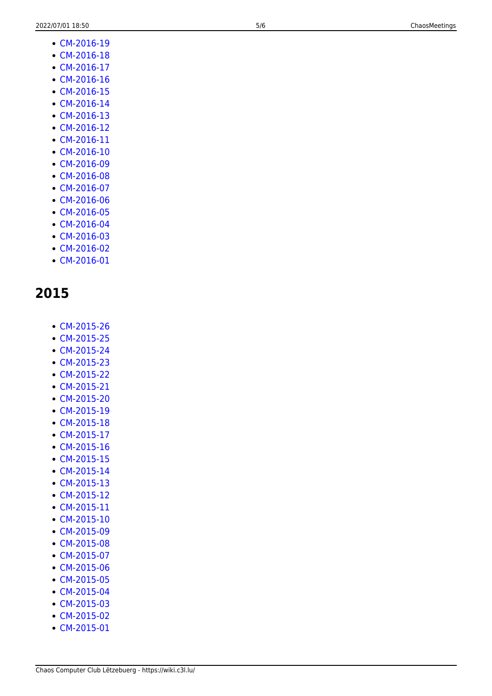• [CM-2015-26](https://wiki.c3l.lu/doku.php?id=organization:chaosmeetings:2015:cm-2015-26) • [CM-2015-25](https://wiki.c3l.lu/doku.php?id=organization:chaosmeetings:2015:cm-2015-25) • [CM-2015-24](https://wiki.c3l.lu/doku.php?id=organization:chaosmeetings:2015:cm-2015-24) • [CM-2015-23](https://wiki.c3l.lu/doku.php?id=organization:chaosmeetings:2015:cm-2015-23) [CM-2015-22](https://wiki.c3l.lu/doku.php?id=organization:chaosmeetings:2015:cm-2015-22) • [CM-2015-21](https://wiki.c3l.lu/doku.php?id=organization:chaosmeetings:2015:cm-2015-21) [CM-2015-20](https://wiki.c3l.lu/doku.php?id=organization:chaosmeetings:2015:cm-2015-20) [CM-2015-19](https://wiki.c3l.lu/doku.php?id=organization:chaosmeetings:2015:cm-2015-19) • [CM-2015-18](https://wiki.c3l.lu/doku.php?id=organization:chaosmeetings:2015:cm-2015-18) • [CM-2015-17](https://wiki.c3l.lu/doku.php?id=organization:chaosmeetings:2015:cm-2015-17) [CM-2015-16](https://wiki.c3l.lu/doku.php?id=organization:chaosmeetings:2015:cm-2015-16) • [CM-2015-15](https://wiki.c3l.lu/doku.php?id=organization:chaosmeetings:2015:cm-2015-15) • [CM-2015-14](https://wiki.c3l.lu/doku.php?id=organization:chaosmeetings:2015:cm-2015-14) • [CM-2015-13](https://wiki.c3l.lu/doku.php?id=organization:chaosmeetings:2015:cm-2015-13) • [CM-2015-12](https://wiki.c3l.lu/doku.php?id=organization:chaosmeetings:2015:cm-2015-12) • [CM-2015-11](https://wiki.c3l.lu/doku.php?id=organization:chaosmeetings:2015:cm-2015-11) [CM-2015-10](https://wiki.c3l.lu/doku.php?id=organization:chaosmeetings:2015:cm-2015-10) • [CM-2015-09](https://wiki.c3l.lu/doku.php?id=organization:chaosmeetings:2015:cm-2015-09) • [CM-2015-08](https://wiki.c3l.lu/doku.php?id=organization:chaosmeetings:2015:cm-2015-08) • [CM-2015-07](https://wiki.c3l.lu/doku.php?id=organization:chaosmeetings:2015:cm-2015-07) [CM-2015-06](https://wiki.c3l.lu/doku.php?id=organization:chaosmeetings:2015:cm-2015-06) • [CM-2015-05](https://wiki.c3l.lu/doku.php?id=organization:chaosmeetings:2015:cm-2015-05) • [CM-2015-04](https://wiki.c3l.lu/doku.php?id=organization:chaosmeetings:2015:cm-2015-04) • [CM-2015-03](https://wiki.c3l.lu/doku.php?id=organization:chaosmeetings:2015:cm-2015-03) • [CM-2015-02](https://wiki.c3l.lu/doku.php?id=organization:chaosmeetings:2015:cm-2015-02) [CM-2015-01](https://wiki.c3l.lu/doku.php?id=organization:chaosmeetings:2015:cm-2015-01)

- [CM-2016-19](https://wiki.c3l.lu/doku.php?id=organization:chaosmeetings:2016:cm-2016-19)
	- [CM-2016-18](https://wiki.c3l.lu/doku.php?id=organization:chaosmeetings:2016:cm-2016-18) • [CM-2016-17](https://wiki.c3l.lu/doku.php?id=organization:chaosmeetings:2016:cm-2016-17)

[CM-2016-16](https://wiki.c3l.lu/doku.php?id=organization:chaosmeetings:2016:cm-2016-16) [CM-2016-15](https://wiki.c3l.lu/doku.php?id=organization:chaosmeetings:2016:cm-2016-15) [CM-2016-14](https://wiki.c3l.lu/doku.php?id=organization:chaosmeetings:2016:cm-2016-14) • [CM-2016-13](https://wiki.c3l.lu/doku.php?id=organization:chaosmeetings:2016:cm-2016-13) • [CM-2016-12](https://wiki.c3l.lu/doku.php?id=organization:chaosmeetings:2016:cm-2016-12) [CM-2016-11](https://wiki.c3l.lu/doku.php?id=organization:chaosmeetings:2016:cm-2016-11) [CM-2016-10](https://wiki.c3l.lu/doku.php?id=organization:chaosmeetings:2016:cm-2016-10) [CM-2016-09](https://wiki.c3l.lu/doku.php?id=organization:chaosmeetings:2016:cm-2016-09) • [CM-2016-08](https://wiki.c3l.lu/doku.php?id=organization:chaosmeetings:2016:cm-2016-08) • [CM-2016-07](https://wiki.c3l.lu/doku.php?id=organization:chaosmeetings:2016:cm-2016-07) • [CM-2016-06](https://wiki.c3l.lu/doku.php?id=organization:chaosmeetings:2016:cm-2016-06) • [CM-2016-05](https://wiki.c3l.lu/doku.php?id=organization:chaosmeetings:2016:cm-2016-05) • [CM-2016-04](https://wiki.c3l.lu/doku.php?id=organization:chaosmeetings:2016:cm-2016-04) [CM-2016-03](https://wiki.c3l.lu/doku.php?id=organization:chaosmeetings:2016:cm-2016-03) • [CM-2016-02](https://wiki.c3l.lu/doku.php?id=organization:chaosmeetings:2016:cm-2016-02) [CM-2016-01](https://wiki.c3l.lu/doku.php?id=organization:chaosmeetings:2016:cm-2016-01)

- 
- 
- 
- 
- 
- 
- 
- 
- 
- 
- 
- 
- 
- 
- 
- 
- 
- 
- 
- 
- 
- 
- 
- 
- 
- 
-